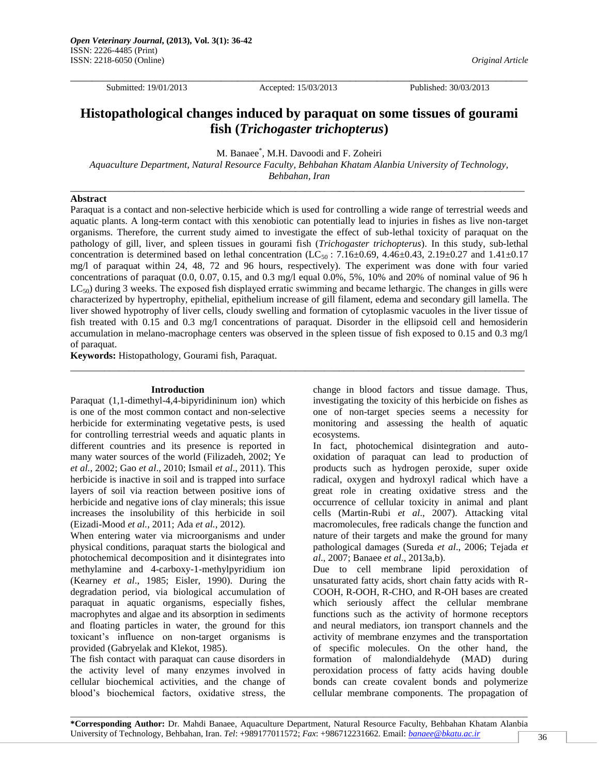Submitted: 19/01/2013 Accepted: 15/03/2013 Published: 30/03/2013

\_\_\_\_\_\_\_\_\_\_\_\_\_\_\_\_\_\_\_\_\_\_\_\_\_\_\_\_\_\_\_\_\_\_\_\_\_\_\_\_\_\_\_\_\_\_\_\_\_\_\_\_\_\_\_\_\_\_\_\_\_\_\_\_\_\_\_\_\_\_\_\_\_\_\_\_\_\_\_\_\_\_\_\_\_

# **Histopathological changes induced by paraquat on some tissues of gourami fish (***Trichogaster trichopterus***)**

M. Banaee\* , M.H. Davoodi and F. Zoheiri

*Aquaculture Department, Natural Resource Faculty, Behbahan Khatam Alanbia University of Technology, Behbahan, Iran* \_\_\_\_\_\_\_\_\_\_\_\_\_\_\_\_\_\_\_\_\_\_\_\_\_\_\_\_\_\_\_\_\_\_\_\_\_\_\_\_\_\_\_\_\_\_\_\_\_\_\_\_\_\_\_\_\_\_\_\_\_\_\_\_\_\_\_\_\_\_\_\_\_\_\_\_\_\_\_\_\_\_\_\_\_\_\_\_\_\_\_\_\_

# **Abstract**

Paraquat is a contact and non-selective herbicide which is used for controlling a wide range of terrestrial weeds and aquatic plants. A long-term contact with this xenobiotic can potentially lead to injuries in fishes as live non-target organisms. Therefore, the current study aimed to investigate the effect of sub-lethal toxicity of paraquat on the pathology of gill, liver, and spleen tissues in gourami fish (*Trichogaster trichopterus*). In this study, sub-lethal concentration is determined based on lethal concentration (LC<sub>50</sub>: 7.16±0.69, 4.46±0.43, 2.19±0.27 and 1.41±0.17 mg/l of paraquat within 24, 48, 72 and 96 hours, respectively). The experiment was done with four varied concentrations of paraquat  $(0.0, 0.07, 0.15, \text{ and } 0.3 \text{ mg/l}$  equal  $0.0\%$ , 5%, 10% and 20% of nominal value of 96 h  $LC_{50}$ ) during 3 weeks. The exposed fish displayed erratic swimming and became lethargic. The changes in gills were characterized by hypertrophy, epithelial, epithelium increase of gill filament, edema and secondary gill lamella. The liver showed hypotrophy of liver cells, cloudy swelling and formation of cytoplasmic vacuoles in the liver tissue of fish treated with 0.15 and 0.3 mg/l concentrations of paraquat. Disorder in the ellipsoid cell and hemosiderin accumulation in melano-macrophage centers was observed in the spleen tissue of fish exposed to 0.15 and 0.3 mg/l of paraquat.

\_\_\_\_\_\_\_\_\_\_\_\_\_\_\_\_\_\_\_\_\_\_\_\_\_\_\_\_\_\_\_\_\_\_\_\_\_\_\_\_\_\_\_\_\_\_\_\_\_\_\_\_\_\_\_\_\_\_\_\_\_\_\_\_\_\_\_\_\_\_\_\_\_\_\_\_\_\_\_\_\_\_\_\_\_\_\_\_\_\_\_\_\_

**Keywords:** Histopathology, Gourami fish, Paraquat.

#### **Introduction**

Paraquat (1,1-dimethyl-4,4-bipyridininum ion) which is one of the most common contact and non-selective herbicide for exterminating vegetative pests, is used for controlling terrestrial weeds and aquatic plants in different countries and its presence is reported in many water sources of the world (Filizadeh, 2002; Ye *et al.*, 2002; Gao *et al*., 2010; Ismail *et al*., 2011). This herbicide is inactive in soil and is trapped into surface layers of soil via reaction between positive ions of herbicide and negative ions of clay minerals; this issue increases the insolubility of this herbicide in soil (Eizadi-Mood *et al.*, 2011; Ada *et al.*, 2012).

When entering water via microorganisms and under physical conditions, paraquat starts the biological and photochemical decomposition and it disintegrates into methylamine and 4-carboxy-1-methylpyridium ion (Kearney *et al*., 1985; Eisler, 1990). During the degradation period, via biological accumulation of paraquat in aquatic organisms, especially fishes, macrophytes and algae and its absorption in sediments and floating particles in water, the ground for this toxicant's influence on non-target organisms is provided (Gabryelak and Klekot, 1985).

The fish contact with paraquat can cause disorders in the activity level of many enzymes involved in cellular biochemical activities, and the change of blood's biochemical factors, oxidative stress, the

change in blood factors and tissue damage. Thus, investigating the toxicity of this herbicide on fishes as one of non-target species seems a necessity for monitoring and assessing the health of aquatic ecosystems.

In fact, photochemical disintegration and autooxidation of paraquat can lead to production of products such as hydrogen peroxide, super oxide radical, oxygen and hydroxyl radical which have a great role in creating oxidative stress and the occurrence of cellular toxicity in animal and plant cells (Martin-Rubi *et al*., 2007). Attacking vital macromolecules, free radicals change the function and nature of their targets and make the ground for many pathological damages (Sureda *et al*., 2006; Tejada *et al*., 2007; Banaee *et al*., 2013a,b).

Due to cell membrane lipid peroxidation of unsaturated fatty acids, short chain fatty acids with R-COOH, R-OOH, R-CHO, and R-OH bases are created which seriously affect the cellular membrane functions such as the activity of hormone receptors and neural mediators, ion transport channels and the activity of membrane enzymes and the transportation of specific molecules. On the other hand, the formation of malondialdehyde (MAD) during peroxidation process of fatty acids having double bonds can create covalent bonds and polymerize cellular membrane components. The propagation of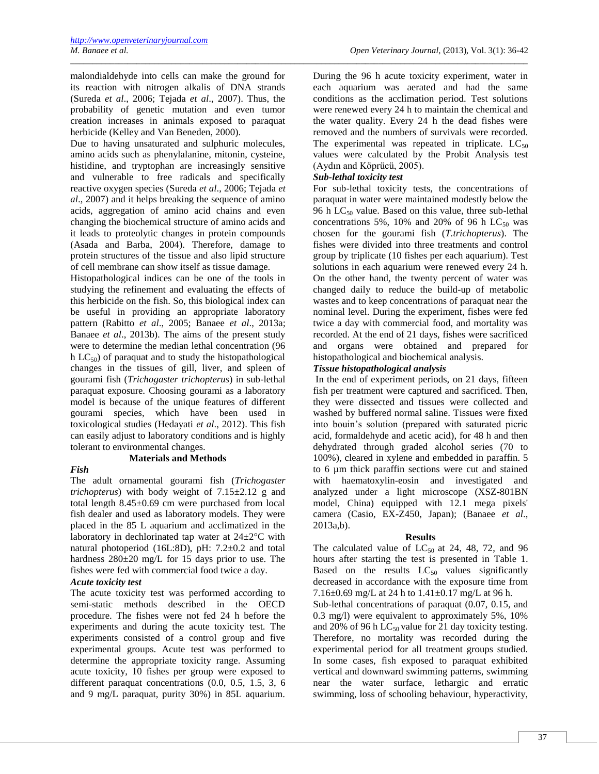malondialdehyde into cells can make the ground for its reaction with nitrogen alkalis of DNA strands (Sureda *et al*., 2006; Tejada *et al*., 2007). Thus, the probability of genetic mutation and even tumor creation increases in animals exposed to paraquat herbicide (Kelley and Van Beneden, 2000).

Due to having unsaturated and sulphuric molecules, amino acids such as phenylalanine, mitonin, cysteine, histidine, and tryptophan are increasingly sensitive and vulnerable to free radicals and specifically reactive oxygen species (Sureda *et al*., 2006; Tejada *et al*., 2007) and it helps breaking the sequence of amino acids, aggregation of amino acid chains and even changing the biochemical structure of amino acids and it leads to proteolytic changes in protein compounds (Asada and Barba, 2004). Therefore, damage to protein structures of the tissue and also lipid structure of cell membrane can show itself as tissue damage.

Histopathological indices can be one of the tools in studying the refinement and evaluating the effects of this herbicide on the fish. So, this biological index can be useful in providing an appropriate laboratory pattern (Rabitto *et al*., 2005; Banaee *et al*., 2013a; Banaee *et al*., 2013b). The aims of the present study were to determine the median lethal concentration (96 h  $LC_{50}$ ) of paraquat and to study the histopathological changes in the tissues of gill, liver, and spleen of gourami fish (*Trichogaster trichopterus*) in sub-lethal paraquat exposure. Choosing gourami as a laboratory model is because of the unique features of different gourami species, which have been used in toxicological studies (Hedayati *et al*., 2012). This fish can easily adjust to laboratory conditions and is highly tolerant to environmental changes.

# *Fish*

# **Materials and Methods**

The adult ornamental gourami fish (*Trichogaster trichopterus*) with body weight of 7.15±2.12 g and total length 8.45±0.69 cm were purchased from local fish dealer and used as laboratory models. They were placed in the 85 L aquarium and acclimatized in the laboratory in dechlorinated tap water at  $24\pm2\degree C$  with natural photoperiod (16L:8D), pH: 7.2±0.2 and total hardness  $280\pm20$  mg/L for 15 days prior to use. The fishes were fed with commercial food twice a day.

# *Acute toxicity test*

The acute toxicity test was performed according to semi-static methods described in the OECD procedure. The fishes were not fed 24 h before the experiments and during the acute toxicity test. The experiments consisted of a control group and five experimental groups. Acute test was performed to determine the appropriate toxicity range. Assuming acute toxicity, 10 fishes per group were exposed to different paraquat concentrations (0.0, 0.5, 1.5, 3, 6 and 9 mg/L paraquat, purity 30%) in 85L aquarium.

During the 96 h acute toxicity experiment, water in each aquarium was aerated and had the same conditions as the acclimation period. Test solutions were renewed every 24 h to maintain the chemical and the water quality. Every 24 h the dead fishes were removed and the numbers of survivals were recorded. The experimental was repeated in triplicate.  $LC_{50}$ values were calculated by the Probit Analysis test (Aydın and Köprücü, 2005).

# *Sub-lethal toxicity test*

\_\_\_\_\_\_\_\_\_\_\_\_\_\_\_\_\_\_\_\_\_\_\_\_\_\_\_\_\_\_\_\_\_\_\_\_\_\_\_\_\_\_\_\_\_\_\_\_\_\_\_\_\_\_\_\_\_\_\_\_\_\_\_\_\_\_\_\_\_\_\_\_\_\_\_\_\_\_\_\_\_\_\_\_\_\_\_\_\_\_\_\_\_\_\_\_\_\_\_\_\_\_\_\_

For sub-lethal toxicity tests, the concentrations of paraquat in water were maintained modestly below the 96 h  $LC_{50}$  value. Based on this value, three sub-lethal concentrations 5%, 10% and 20% of 96 h  $LC_{50}$  was chosen for the gourami fish (*T.trichopterus*). The fishes were divided into three treatments and control group by triplicate (10 fishes per each aquarium). Test solutions in each aquarium were renewed every 24 h. On the other hand, the twenty percent of water was changed daily to reduce the build-up of metabolic wastes and to keep concentrations of paraquat near the nominal level. During the experiment, fishes were fed twice a day with commercial food, and mortality was recorded. At the end of 21 days, fishes were sacrificed and organs were obtained and prepared for histopathological and biochemical analysis.

# *Tissue histopathological analysis*

In the end of experiment periods, on 21 days, fifteen fish per treatment were captured and sacrificed. Then, they were dissected and tissues were collected and washed by buffered normal saline. Tissues were fixed into bouin's solution (prepared with saturated picric acid, formaldehyde and acetic acid), for 48 h and then dehydrated through graded alcohol series (70 to 100%), cleared in xylene and embedded in paraffin. 5 to 6 µm thick paraffin sections were cut and stained with haematoxylin-eosin and investigated and analyzed under a light microscope (XSZ-801BN model, China) equipped with 12.1 mega pixels' camera (Casio, EX-Z450, Japan); (Banaee *et al*., 2013a,b).

### **Results**

The calculated value of  $LC_{50}$  at 24, 48, 72, and 96 hours after starting the test is presented in Table 1. Based on the results  $LC_{50}$  values significantly decreased in accordance with the exposure time from 7.16 $\pm$ 0.69 mg/L at 24 h to 1.41 $\pm$ 0.17 mg/L at 96 h.

Sub-lethal concentrations of paraquat (0.07, 0.15, and 0.3 mg/l) were equivalent to approximately 5%, 10% and 20% of 96 h LC $_{50}$  value for 21 day toxicity testing. Therefore, no mortality was recorded during the experimental period for all treatment groups studied. In some cases, fish exposed to paraquat exhibited vertical and downward swimming patterns, swimming near the water surface, lethargic and erratic swimming, loss of schooling behaviour, hyperactivity,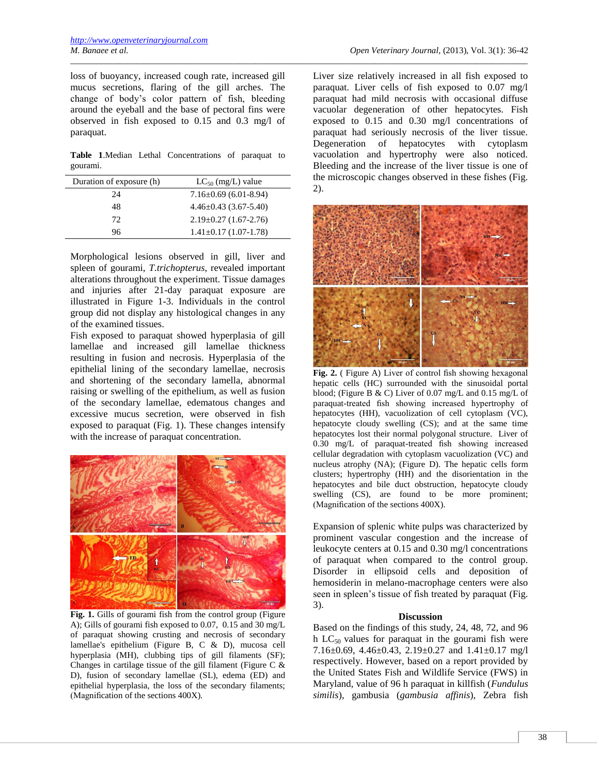loss of buoyancy, increased cough rate, increased gill mucus secretions, flaring of the gill arches. The change of body's color pattern of fish, bleeding around the eyeball and the base of pectoral fins were observed in fish exposed to 0.15 and 0.3 mg/l of paraquat.

\_\_\_\_\_\_\_\_\_\_\_\_\_\_\_\_\_\_\_\_\_\_\_\_\_\_\_\_\_\_\_\_\_\_\_\_\_\_\_\_\_\_\_\_\_\_\_\_\_\_\_\_\_\_\_\_\_\_\_\_\_\_\_\_\_\_\_\_\_\_\_\_\_\_\_\_\_\_\_\_\_\_\_\_\_\_\_\_\_\_\_\_\_\_\_\_\_\_\_\_\_\_\_\_

**Table 1**.Median Lethal Concentrations of paraquat to gourami.

| Duration of exposure (h) | $LC_{50}$ (mg/L) value      |
|--------------------------|-----------------------------|
| 24                       | $7.16\pm0.69(6.01-8.94)$    |
| 48                       | $4.46 \pm 0.43$ (3.67-5.40) |
| 72                       | $2.19 \pm 0.27$ (1.67-2.76) |
| 96                       | $1.41 \pm 0.17$ (1.07-1.78) |

Morphological lesions observed in gill, liver and spleen of gourami, *T.trichopterus*, revealed important alterations throughout the experiment. Tissue damages and injuries after 21-day paraquat exposure are illustrated in Figure 1-3. Individuals in the control group did not display any histological changes in any of the examined tissues.

Fish exposed to paraquat showed hyperplasia of gill lamellae and increased gill lamellae thickness resulting in fusion and necrosis. Hyperplasia of the epithelial lining of the secondary lamellae, necrosis and shortening of the secondary lamella, abnormal raising or swelling of the epithelium, as well as fusion of the secondary lamellae, edematous changes and excessive mucus secretion, were observed in fish exposed to paraquat (Fig. 1). These changes intensify with the increase of paraquat concentration.



**Fig. 1.** Gills of gourami fish from the control group (Figure A); Gills of gourami fish exposed to 0.07, 0.15 and 30 mg/L of paraquat showing crusting and necrosis of secondary lamellae's epithelium (Figure B, C & D), mucosa cell hyperplasia (MH), clubbing tips of gill filaments (SF); Changes in cartilage tissue of the gill filament (Figure C & D), fusion of secondary lamellae (SL), edema (ED) and epithelial hyperplasia, the loss of the secondary filaments; (Magnification of the sections 400X).

Liver size relatively increased in all fish exposed to paraquat. Liver cells of fish exposed to 0.07 mg/l paraquat had mild necrosis with occasional diffuse vacuolar degeneration of other hepatocytes. Fish exposed to 0.15 and 0.30 mg/l concentrations of paraquat had seriously necrosis of the liver tissue. Degeneration of hepatocytes with cytoplasm vacuolation and hypertrophy were also noticed. Bleeding and the increase of the liver tissue is one of the microscopic changes observed in these fishes (Fig. 2).



**Fig. 2.** ( Figure A) Liver of control fish showing hexagonal hepatic cells (HC) surrounded with the sinusoidal portal blood; (Figure B & C) Liver of 0.07 mg/L and 0.15 mg/L of paraquat-treated fish showing increased hypertrophy of hepatocytes (HH), vacuolization of cell cytoplasm (VC), hepatocyte cloudy swelling (CS); and at the same time hepatocytes lost their normal polygonal structure. Liver of 0.30 mg/L of paraquat-treated fish showing increased cellular degradation with cytoplasm vacuolization (VC) and nucleus atrophy (NA); (Figure D). The hepatic cells form clusters; hypertrophy (HH) and the disorientation in the hepatocytes and bile duct obstruction, hepatocyte cloudy swelling (CS), are found to be more prominent; (Magnification of the sections 400X).

Expansion of splenic white pulps was characterized by prominent vascular congestion and the increase of leukocyte centers at 0.15 and 0.30 mg/l concentrations of paraquat when compared to the control group. Disorder in ellipsoid cells and deposition of hemosiderin in melano-macrophage centers were also seen in spleen's tissue of fish treated by paraquat (Fig. 3).

#### **Discussion**

Based on the findings of this study, 24, 48, 72, and 96 h  $LC_{50}$  values for paraquat in the gourami fish were 7.16±0.69, 4.46±0.43, 2.19±0.27 and 1.41±0.17 mg/l respectively. However, based on a report provided by the United States Fish and Wildlife Service (FWS) in Maryland, value of 96 h paraquat in killfish (*Fundulus similis*), gambusia (*gambusia affinis*), Zebra fish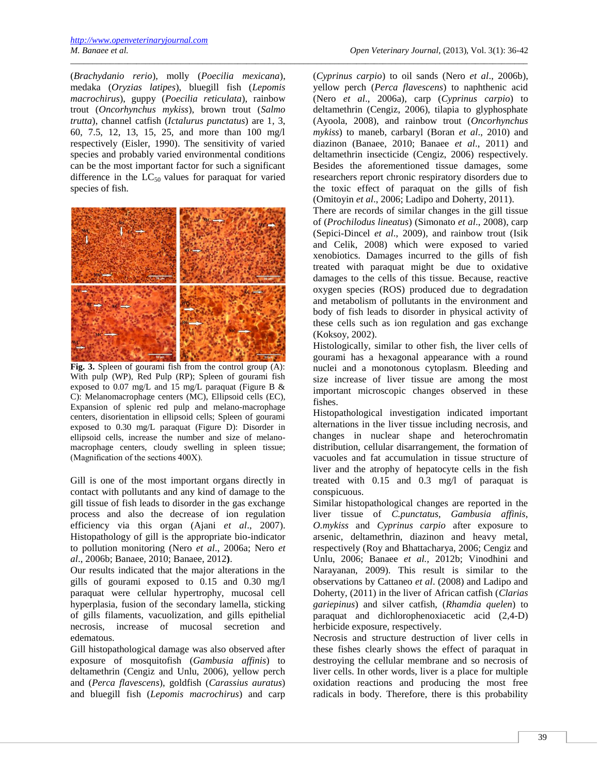(*Brachydanio rerio*), molly (*Poecilia mexicana*), medaka (*Oryzias latipes*), bluegill fish (*Lepomis macrochirus*), guppy (*Poecilia reticulata*), rainbow trout (*Oncorhynchus mykiss*), brown trout (*Salmo trutta*), channel catfish (*Ictalurus punctatus*) are 1, 3, 60, 7.5, 12, 13, 15, 25, and more than 100 mg/l respectively (Eisler, 1990). The sensitivity of varied species and probably varied environmental conditions can be the most important factor for such a significant difference in the  $LC_{50}$  values for paraquat for varied species of fish.

\_\_\_\_\_\_\_\_\_\_\_\_\_\_\_\_\_\_\_\_\_\_\_\_\_\_\_\_\_\_\_\_\_\_\_\_\_\_\_\_\_\_\_\_\_\_\_\_\_\_\_\_\_\_\_\_\_\_\_\_\_\_\_\_\_\_\_\_\_\_\_\_\_\_\_\_\_\_\_\_\_\_\_\_\_\_\_\_\_\_\_\_\_\_\_\_\_\_\_\_\_\_\_\_



**Fig. 3.** Spleen of gourami fish from the control group (A): With pulp (WP), Red Pulp (RP); Spleen of gourami fish exposed to 0.07 mg/L and 15 mg/L paraquat (Figure B & C): Melanomacrophage centers (MC), Ellipsoid cells (EC), Expansion of splenic red pulp and melano-macrophage centers, disorientation in ellipsoid cells; Spleen of gourami exposed to 0.30 mg/L paraquat (Figure D): Disorder in ellipsoid cells, increase the number and size of melanomacrophage centers, cloudy swelling in spleen tissue; (Magnification of the sections 400X).

Gill is one of the most important organs directly in contact with pollutants and any kind of damage to the gill tissue of fish leads to disorder in the gas exchange process and also the decrease of ion regulation efficiency via this organ (Ajani *et al*., 2007). Histopathology of gill is the appropriate bio-indicator to pollution monitoring (Nero *et al*., 2006a; Nero *et al*., 2006b; Banaee, 2010; Banaee, 2012**)**.

Our results indicated that the major alterations in the gills of gourami exposed to 0.15 and 0.30 mg/l paraquat were cellular hypertrophy, mucosal cell hyperplasia, fusion of the secondary lamella, sticking of gills filaments, vacuolization, and gills epithelial necrosis, increase of mucosal secretion and edematous.

Gill histopathological damage was also observed after exposure of mosquitofish (*Gambusia affinis*) to deltamethrin (Cengiz and Unlu, 2006), yellow perch and (*Perca flavescens*), goldfish (*Carassius auratus*) and bluegill fish (*Lepomis macrochirus*) and carp

(*Cyprinus carpio*) to oil sands (Nero *et al*., 2006b), yellow perch (*Perca flavescens*) to naphthenic acid (Nero *et al*., 2006a), carp (*Cyprinus carpio*) to deltamethrin (Cengiz, 2006), tilapia to glyphosphate (Ayoola, 2008), and rainbow trout (*Oncorhynchus mykiss*) to maneb, carbaryl (Boran *et al*., 2010) and diazinon (Banaee, 2010; Banaee *et al*., 2011) and deltamethrin insecticide (Cengiz, 2006) respectively. Besides the aforementioned tissue damages, some researchers report chronic respiratory disorders due to the toxic effect of paraquat on the gills of fish (Omitoyin *et al*., 2006; Ladipo and Doherty, 2011).

There are records of similar changes in the gill tissue of (*Prochilodus lineatus*) (Simonato *et al*., 2008), carp (Sepici-Dincel *et al*., 2009), and rainbow trout (Isik and Celik, 2008) which were exposed to varied xenobiotics. Damages incurred to the gills of fish treated with paraquat might be due to oxidative damages to the cells of this tissue. Because, reactive oxygen species (ROS) produced due to degradation and metabolism of pollutants in the environment and body of fish leads to disorder in physical activity of these cells such as ion regulation and gas exchange (Koksoy, 2002).

Histologically, similar to other fish, the liver cells of gourami has a hexagonal appearance with a round nuclei and a monotonous cytoplasm. Bleeding and size increase of liver tissue are among the most important microscopic changes observed in these fishes.

Histopathological investigation indicated important alternations in the liver tissue including necrosis, and changes in nuclear shape and heterochromatin distribution, cellular disarrangement, the formation of vacuoles and fat accumulation in tissue structure of liver and the atrophy of hepatocyte cells in the fish treated with 0.15 and 0.3 mg/l of paraquat is conspicuous.

Similar histopathological changes are reported in the liver tissue of *C.punctatus*, *Gambusia affinis*, *O.mykiss* and *Cyprinus carpio* after exposure to arsenic, deltamethrin, diazinon and heavy metal, respectively (Roy and Bhattacharya, 2006; Cengiz and Unlu, 2006; Banaee *et al.,* 2012b; Vinodhini and Narayanan, 2009). This result is similar to the observations by Cattaneo *et al*. (2008) and Ladipo and Doherty, (2011) in the liver of African catfish (*Clarias gariepinus*) and silver catfish, (*Rhamdia quelen*) to paraquat and dichlorophenoxiacetic acid (2,4-D) herbicide exposure, respectively.

Necrosis and structure destruction of liver cells in these fishes clearly shows the effect of paraquat in destroying the cellular membrane and so necrosis of liver cells. In other words, liver is a place for multiple oxidation reactions and producing the most free radicals in body. Therefore, there is this probability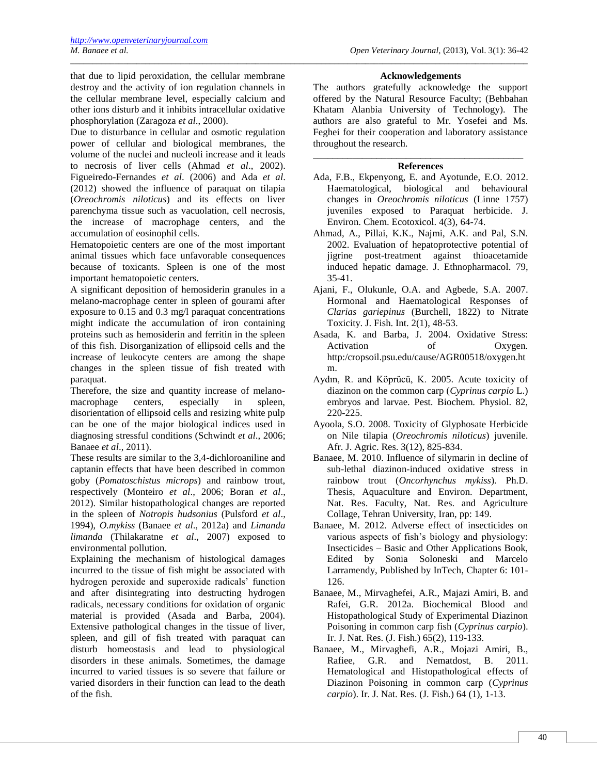that due to lipid peroxidation, the cellular membrane destroy and the activity of ion regulation channels in the cellular membrane level, especially calcium and other ions disturb and it inhibits intracellular oxidative phosphorylation (Zaragoza *et al*., 2000).

Due to disturbance in cellular and osmotic regulation power of cellular and biological membranes, the volume of the nuclei and nucleoli increase and it leads to necrosis of liver cells (Ahmad *et al*., 2002). Figueiredo-Fernandes *et al*. (2006) and Ada *et al*. (2012) showed the influence of paraquat on tilapia (*Oreochromis niloticus*) and its effects on liver parenchyma tissue such as vacuolation, cell necrosis, the increase of macrophage centers, and the accumulation of eosinophil cells.

Hematopoietic centers are one of the most important animal tissues which face unfavorable consequences because of toxicants. Spleen is one of the most important hematopoietic centers.

A significant deposition of hemosiderin granules in a melano-macrophage center in spleen of gourami after exposure to 0.15 and 0.3 mg/l paraquat concentrations might indicate the accumulation of iron containing proteins such as hemosiderin and ferritin in the spleen of this fish. Disorganization of ellipsoid cells and the increase of leukocyte centers are among the shape changes in the spleen tissue of fish treated with paraquat.

Therefore, the size and quantity increase of melanomacrophage centers, especially in spleen, disorientation of ellipsoid cells and resizing white pulp can be one of the major biological indices used in diagnosing stressful conditions (Schwindt *et al*., 2006; Banaee *et al*., 2011).

These results are similar to the 3,4-dichloroaniline and captanin effects that have been described in common goby (*Pomatoschistus microps*) and rainbow trout, respectively (Monteiro *et al*., 2006; Boran *et al*., 2012). Similar histopathological changes are reported in the spleen of *Notropis hudsonius* (Pulsford *et al*., 1994), *O.mykiss* (Banaee *et al*., 2012a) and *Limanda limanda* (Thilakaratne *et al*., 2007) exposed to environmental pollution.

Explaining the mechanism of histological damages incurred to the tissue of fish might be associated with hydrogen peroxide and superoxide radicals' function and after disintegrating into destructing hydrogen radicals, necessary conditions for oxidation of organic material is provided (Asada and Barba, 2004). Extensive pathological changes in the tissue of liver, spleen, and gill of fish treated with paraquat can disturb homeostasis and lead to physiological disorders in these animals. Sometimes, the damage incurred to varied tissues is so severe that failure or varied disorders in their function can lead to the death of the fish.

### **Acknowledgements**

\_\_\_\_\_\_\_\_\_\_\_\_\_\_\_\_\_\_\_\_\_\_\_\_\_\_\_\_\_\_\_\_\_\_\_\_\_\_\_\_\_\_\_\_\_\_\_\_\_\_\_\_\_\_\_\_\_\_\_\_\_\_\_\_\_\_\_\_\_\_\_\_\_\_\_\_\_\_\_\_\_\_\_\_\_\_\_\_\_\_\_\_\_\_\_\_\_\_\_\_\_\_\_\_

The authors gratefully acknowledge the support offered by the Natural Resource Faculty; (Behbahan Khatam Alanbia University of Technology). The authors are also grateful to Mr. Yosefei and Ms. Feghei for their cooperation and laboratory assistance throughout the research.

#### \_\_\_\_\_\_\_\_\_\_\_\_\_\_\_\_\_\_\_\_\_\_\_\_\_\_\_\_\_\_\_\_\_\_\_\_\_\_\_\_\_\_\_ **References**

- Ada, F.B., Ekpenyong, E. and Ayotunde, E.O. 2012. Haematological, biological and behavioural changes in *Oreochromis niloticus* (Linne 1757) juveniles exposed to Paraquat herbicide. J. Environ. Chem. Ecotoxicol. 4(3), 64-74.
- Ahmad, A., Pillai, K.K., Najmi, A.K. and Pal, S.N. 2002. Evaluation of hepatoprotective potential of jigrine post-treatment against thioacetamide induced hepatic damage. J. Ethnopharmacol. 79, 35-41.
- Ajani, F., Olukunle, O.A. and Agbede, S.A. 2007. Hormonal and Haematological Responses of *Clarias gariepinus* (Burchell, 1822) to Nitrate Toxicity. J. Fish. Int. 2(1), 48-53.
- Asada, K. and Barba, J. 2004. Oxidative Stress: Activation of Oxygen. http:/cropsoil.psu.edu/cause/AGR00518/oxygen.ht m.
- Aydın, R. and Köprücü, K. 2005. Acute toxicity of diazinon on the common carp (*Cyprinus carpio* L.) embryos and larvae. Pest. Biochem. Physiol. 82, 220-225.
- Ayoola, S.O. 2008. Toxicity of Glyphosate Herbicide on Nile tilapia (*Oreochromis niloticus*) juvenile. Afr. J. Agric. Res. 3(12), 825-834.
- Banaee, M. 2010. Influence of silymarin in decline of sub-lethal diazinon-induced oxidative stress in rainbow trout (*Oncorhynchus mykiss*). Ph.D. Thesis, Aquaculture and Environ. Department, Nat. Res. Faculty, Nat. Res. and Agriculture Collage, Tehran University, Iran, pp: 149.
- Banaee, M. 2012. Adverse effect of insecticides on various aspects of fish's biology and physiology: Insecticides – Basic and Other Applications Book, Edited by Sonia Soloneski and Marcelo Larramendy, Published by InTech, Chapter 6: 101- 126.
- Banaee, M., Mirvaghefei, A.R., Majazi Amiri, B. and Rafei, G.R. 2012a. Biochemical Blood and Histopathological Study of Experimental Diazinon Poisoning in common carp fish (*Cyprinus carpio*). Ir. J. Nat. Res. (J. Fish.) 65(2), 119-133.
- Banaee, M., Mirvaghefi, A.R., Mojazi Amiri, B., Rafiee, G.R. and Nematdost, B. 2011. Hematological and Histopathological effects of Diazinon Poisoning in common carp (*Cyprinus carpio*). Ir. J. Nat. Res. (J. Fish.) 64 (1), 1-13.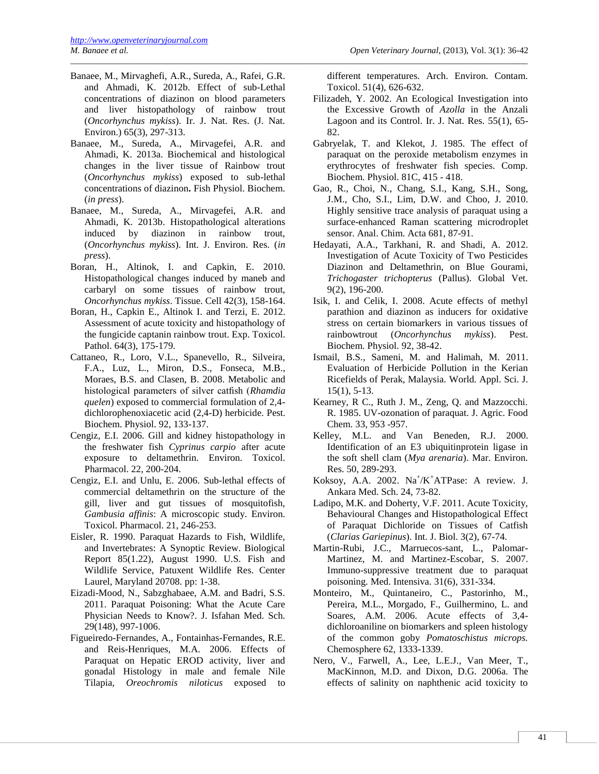Banaee, M., Mirvaghefi, A.R., Sureda, A., Rafei, G.R. and Ahmadi, K. 2012b. Effect of sub-Lethal concentrations of diazinon on blood parameters and liver histopathology of rainbow trout (*Oncorhynchus mykiss*). Ir. J. Nat. Res. (J. Nat. Environ.) 65(3), 297-313.

\_\_\_\_\_\_\_\_\_\_\_\_\_\_\_\_\_\_\_\_\_\_\_\_\_\_\_\_\_\_\_\_\_\_\_\_\_\_\_\_\_\_\_\_\_\_\_\_\_\_\_\_\_\_\_\_\_\_\_\_\_\_\_\_\_\_\_\_\_\_\_\_\_\_\_\_\_\_\_\_\_\_\_\_\_\_\_\_\_\_\_\_\_\_\_\_\_\_\_\_\_\_\_\_

- Banaee, M., Sureda, A., Mirvagefei, A.R. and Ahmadi, K. 2013a. Biochemical and histological changes in the liver tissue of Rainbow trout (*Oncorhynchus mykiss*) exposed to sub-lethal concentrations of diazinon**.** Fish Physiol. Biochem. (*in press*).
- Banaee, M., Sureda, A., Mirvagefei, A.R. and Ahmadi, K. 2013b. Histopathological alterations induced by diazinon in rainbow trout, (*Oncorhynchus mykiss*). Int. J. Environ. Res. (*in press*).
- Boran, H., Altinok, I. and Capkin, E. 2010. Histopathological changes induced by maneb and carbaryl on some tissues of rainbow trout, *Oncorhynchus mykiss*. Tissue. Cell 42(3), 158-164.
- Boran, H., Capkin E., Altinok I. and Terzi, E. 2012. Assessment of acute toxicity and histopathology of the fungicide captanin rainbow trout. Exp. Toxicol. Pathol. 64(3), 175-179.
- Cattaneo, R., Loro, V.L., Spanevello, R., Silveira, F.A., Luz, L., Miron, D.S., Fonseca, M.B., Moraes, B.S. and Clasen, B. 2008. Metabolic and histological parameters of silver catfish (*Rhamdia quelen*) exposed to commercial formulation of 2,4 dichlorophenoxiacetic acid (2,4-D) herbicide. Pest. Biochem. Physiol. 92, 133-137.
- Cengiz, E.I. 2006. Gill and kidney histopathology in the freshwater fish *Cyprinus carpio* after acute exposure to deltamethrin. Environ. Toxicol. Pharmacol. 22, 200-204.
- Cengiz, E.I. and Unlu, E. 2006. Sub-lethal effects of commercial deltamethrin on the structure of the gill, liver and gut tissues of mosquitofish, *Gambusia affinis*: A microscopic study. Environ. Toxicol. Pharmacol. 21, 246-253.
- Eisler, R. 1990. Paraquat Hazards to Fish, Wildlife, and Invertebrates: A Synoptic Review. Biological Report 85(1.22), August 1990. U.S. Fish and Wildlife Service, Patuxent Wildlife Res. Center Laurel, Maryland 20708. pp: 1-38.
- Eizadi-Mood, N., Sabzghabaee, A.M. and Badri, S.S. 2011. Paraquat Poisoning: What the Acute Care Physician Needs to Know?. J. Isfahan Med. Sch. 29(148), 997-1006.
- Figueiredo-Fernandes, A., Fontainhas-Fernandes, R.E. and Reis-Henriques, M.A. 2006. Effects of Paraquat on Hepatic EROD activity, liver and gonadal Histology in male and female Nile Tilapia, *Oreochromis niloticus* exposed to

different temperatures. Arch. Environ. Contam. Toxicol. 51(4), 626-632.

- Filizadeh, Y. 2002. An Ecological Investigation into the Excessive Growth of *Azolla* in the Anzali Lagoon and its Control. Ir. J. Nat. Res. 55(1), 65- 82.
- Gabryelak, T. and Klekot, J. 1985. The effect of paraquat on the peroxide metabolism enzymes in erythrocytes of freshwater fish species. Comp. Biochem. Physiol. 81C, 415 - 418.
- Gao, R., Choi, N., Chang, S.I., Kang, S.H., Song, J.M., Cho, S.I., Lim, D.W. and Choo, J. 2010. Highly sensitive trace analysis of paraquat using a surface-enhanced Raman scattering microdroplet sensor. Anal. Chim. Acta 681, 87-91.
- Hedayati, A.A., Tarkhani, R. and Shadi, A. 2012. Investigation of Acute Toxicity of Two Pesticides Diazinon and Deltamethrin, on Blue Gourami, *Trichogaster trichopterus* (Pallus). Global Vet. 9(2), 196-200.
- Isik, I. and Celik, I. 2008. Acute effects of methyl parathion and diazinon as inducers for oxidative stress on certain biomarkers in various tissues of rainbowtrout (*Oncorhynchus mykiss*). Pest. Biochem. Physiol. 92, 38-42.
- Ismail, B.S., Sameni, M. and Halimah, M. 2011. Evaluation of Herbicide Pollution in the Kerian Ricefields of Perak, Malaysia. World. Appl. Sci. J. 15(1), 5-13.
- Kearney, R C., Ruth J. M., Zeng, Q. and Mazzocchi. R. 1985. UV-ozonation of paraquat. J. Agric. Food Chem. 33, 953 -957.
- Kelley, M.L. and Van Beneden, R.J. 2000. Identification of an E3 ubiquitinprotein ligase in the soft shell clam (*Mya arenaria*). Mar. Environ. Res. 50, 289-293.
- Koksoy, A.A. 2002. Na<sup>+</sup>/K<sup>+</sup>ATPase: A review. J. Ankara Med. Sch. 24, 73-82.
- Ladipo, M.K. and Doherty, V.F. 2011. Acute Toxicity, Behavioural Changes and Histopathological Effect of Paraquat Dichloride on Tissues of Catfish (*Clarias Gariepinus*). Int. J. Biol. 3(2), 67-74.
- Martin-Rubi, J.C., Marruecos-sant, L., Palomar-Martinez, M. and Martinez-Escobar, S. 2007. Immuno-suppressive treatment due to paraquat poisoning. Med. Intensiva. 31(6), 331-334.
- Monteiro, M., Quintaneiro, C., Pastorinho, M., Pereira, M.L., Morgado, F., Guilhermino, L. and Soares, A.M. 2006. Acute effects of 3,4dichloroaniline on biomarkers and spleen histology of the common goby *Pomatoschistus microps.*  Chemosphere 62, 1333-1339.
- Nero, V., Farwell, A., Lee, L.E.J., Van Meer, T., MacKinnon, M.D. and Dixon, D.G. 2006a. The effects of salinity on naphthenic acid toxicity to